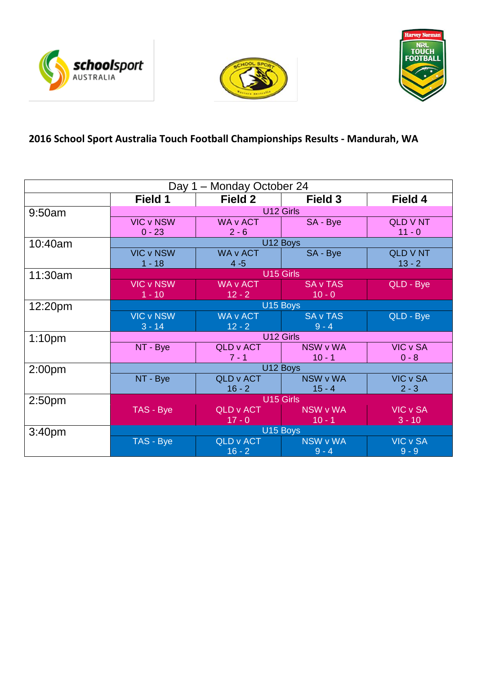





# **2016 School Sport Australia Touch Football Championships Results - Mandurah, WA**

| Day 1 – Monday October 24 |                       |                  |                 |                 |  |
|---------------------------|-----------------------|------------------|-----------------|-----------------|--|
|                           | Field 1               | Field 2          | Field 3         | Field 4         |  |
| 9:50am                    | U12 Girls             |                  |                 |                 |  |
|                           | <b>VIC v NSW</b>      | <b>WA v ACT</b>  | SA - Bye        | <b>QLD V NT</b> |  |
|                           | $0 - 23$              | $2 - 6$          |                 | $11 - 0$        |  |
| 10:40am                   | U12 Boys              |                  |                 |                 |  |
|                           | <b>VIC v NSW</b>      | <b>WA v ACT</b>  | SA - Bye        | <b>QLD V NT</b> |  |
|                           | $1 - 18$              | $4 - 5$          |                 | $13 - 2$        |  |
| 11:30am                   | U15 Girls             |                  |                 |                 |  |
|                           | <b>VIC v NSW</b>      | <b>WA v ACT</b>  | <b>SA v TAS</b> | QLD - Bye       |  |
|                           | $1 - 10$              | $12 - 2$         | $10 - 0$        |                 |  |
| 12:20pm                   | U15 Boys              |                  |                 |                 |  |
|                           | <b>VIC v NSW</b>      | <b>WA v ACT</b>  | <b>SA v TAS</b> | QLD - Bye       |  |
|                           | $3 - 14$              | $12 - 2$         | $9 - 4$         |                 |  |
| 1:10 <sub>pm</sub>        | U12 Girls             |                  |                 |                 |  |
|                           | NT - Bye              | <b>QLD v ACT</b> | NSW v WA        | VIC v SA        |  |
|                           |                       | $7 - 1$          | $10 - 1$        | $0 - 8$         |  |
| 2:00 <sub>pm</sub>        | U12 Boys              |                  |                 |                 |  |
|                           | NT - Bye              | <b>QLD v ACT</b> | NSW v WA        | <b>VIC v SA</b> |  |
|                           |                       | $16 - 2$         | $15 - 4$        | $2 - 3$         |  |
| 2:50 <sub>pm</sub>        | U <sub>15</sub> Girls |                  |                 |                 |  |
|                           | TAS - Bye             | <b>QLD v ACT</b> | <b>NSW v WA</b> | <b>VIC v SA</b> |  |
|                           |                       | $17 - 0$         | $10 - 1$        | $3 - 10$        |  |
| 3:40 <sub>pm</sub>        |                       |                  | U15 Boys        |                 |  |
|                           | TAS - Bye             | <b>QLD v ACT</b> | <b>NSW v WA</b> | <b>VIC v SA</b> |  |
|                           |                       | $16 - 2$         | $9 - 4$         | $9 - 9$         |  |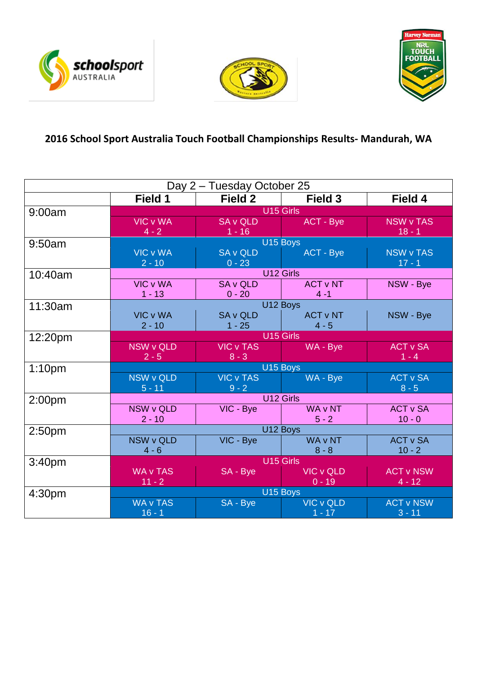





# **2016 School Sport Australia Touch Football Championships Results- Mandurah, WA**

| Day 2 – Tuesday October 25 |                                  |                  |                  |                  |  |
|----------------------------|----------------------------------|------------------|------------------|------------------|--|
|                            | Field 1                          | Field 2          | Field 3          | Field 4          |  |
| 9:00am                     | U <sub>15</sub> Girls            |                  |                  |                  |  |
|                            | <b>VIC v WA</b>                  | <b>SA v QLD</b>  | ACT - Bye        | <b>NSW v TAS</b> |  |
|                            | $4 - 2$                          | $1 - 16$         |                  | $18 - 1$         |  |
| 9:50am                     | U15 Boys                         |                  |                  |                  |  |
|                            | <b>VIC v WA</b>                  | <b>SA v QLD</b>  | <b>ACT - Bye</b> | <b>NSW v TAS</b> |  |
|                            | $2 - 10$                         | $0 - 23$         |                  | $17 - 1$         |  |
| 10:40am                    |                                  |                  | U12 Girls        |                  |  |
|                            | <b>VIC v WA</b>                  | <b>SA v QLD</b>  | <b>ACT v NT</b>  | NSW - Bye        |  |
|                            | $1 - 13$                         | $0 - 20$         | $4 - 1$          |                  |  |
| 11:30am                    | U12 Boys                         |                  |                  |                  |  |
|                            | <b>VIC v WA</b>                  | <b>SA v QLD</b>  | <b>ACT v NT</b>  | NSW - Bye        |  |
|                            | $2 - 10$                         | $1 - 25$         | $4 - 5$          |                  |  |
| 12:20pm                    | U15 Girls                        |                  |                  |                  |  |
|                            | <b>NSW v QLD</b>                 | <b>VIC v TAS</b> | WA - Bye         | <b>ACT v SA</b>  |  |
|                            | $2 - 5$                          | $8 - 3$          |                  | $1 - 4$          |  |
| 1:10 <sub>pm</sub>         | U15 Boys                         |                  |                  |                  |  |
|                            | <b>NSW v QLD</b>                 | <b>VIC v TAS</b> | WA - Bye         | <b>ACT v SA</b>  |  |
|                            | $5 - 11$                         | $9 - 2$          |                  | $8 - 5$          |  |
| 2:00 <sub>pm</sub>         | U12 Girls                        |                  |                  |                  |  |
|                            | NSW v QLD                        | VIC - Bye        | <b>WA v NT</b>   | <b>ACT v SA</b>  |  |
|                            | $2 - 10$                         |                  | $5 - 2$          | $10 - 0$         |  |
| 2:50 <sub>pm</sub>         | U12 Boys                         |                  |                  |                  |  |
|                            | <b>NSW v QLD</b>                 | VIC - Bye        | <b>WA v NT</b>   | <b>ACT v SA</b>  |  |
|                            | $4 - 6$                          |                  | $8 - 8$          | $10 - 2$         |  |
| 3:40 <sub>pm</sub>         | U15 Girls                        |                  |                  |                  |  |
|                            | <b>WA v TAS</b>                  | SA - Bye         | <b>VIC v QLD</b> | <b>ACT v NSW</b> |  |
|                            | $11 - 2$<br>$0 - 19$<br>$4 - 12$ |                  |                  |                  |  |
| 4:30pm                     |                                  |                  | U15 Boys         |                  |  |
|                            | <b>WA v TAS</b>                  | SA - Bye         | <b>VIC v QLD</b> | <b>ACT v NSW</b> |  |
|                            | $16 - 1$                         |                  | $1 - 17$         | $3 - 11$         |  |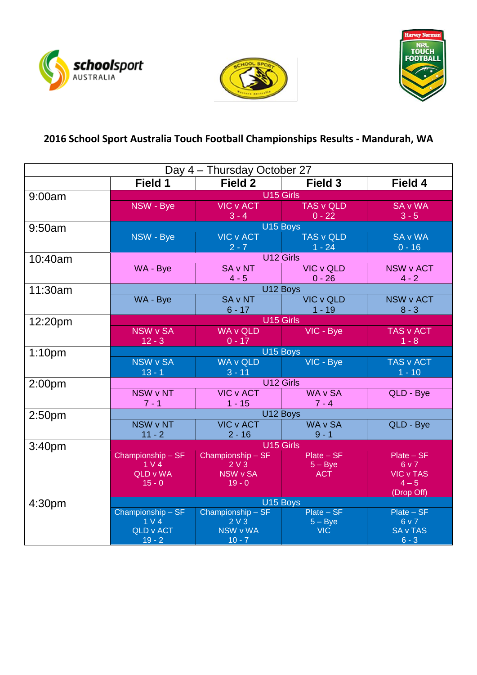





# **2016 School Sport Australia Touch Football Championships Results - Mandurah, WA**

| Day 4 - Thursday October 27 |                                             |                                |                                                                                            |                      |  |
|-----------------------------|---------------------------------------------|--------------------------------|--------------------------------------------------------------------------------------------|----------------------|--|
|                             | Field 1                                     | Field 2                        | Field 3                                                                                    | Field 4              |  |
| 9:00am                      | U15 Girls                                   |                                |                                                                                            |                      |  |
|                             | NSW - Bye                                   |                                | VIC v ACT TAS v QLD                                                                        | <b>SA v WA</b>       |  |
|                             |                                             | $3 - 4$                        | $\begin{array}{ c c c c c }\n\hline\n\text{ }} & \text{ } & 0 - 22 \\ \hline\n\end{array}$ | $3 - 5$              |  |
| 9:50am                      | NSW - Bye                                   |                                | U15 Boys<br>VIC v ACT TAS v QLD                                                            | <b>SA v WA</b>       |  |
|                             |                                             |                                |                                                                                            | $0 - 16$             |  |
| 10:40am                     | $2 - 7$ 1 - 24<br>U12 Girls <b>Campbell</b> |                                |                                                                                            |                      |  |
|                             | WA - Bye                                    |                                | SA v NT VIC v QLD                                                                          | <b>NSW v ACT</b>     |  |
|                             |                                             | $4 - 5$                        | $0 - 26$                                                                                   | $4 - 2$              |  |
| 11:30am                     |                                             |                                | U12 Boys                                                                                   |                      |  |
|                             | WA - Bye                                    |                                | SA v NT VIC v QLD                                                                          | <b>NSW v ACT</b>     |  |
|                             |                                             | $6 - 17$ 1 - 19                |                                                                                            | $8 - 3$              |  |
| 12:20pm                     |                                             |                                | U15 Girls                                                                                  |                      |  |
|                             | NSW v SA<br>$12 - 3$                        | WA v QLD VIC - Bye<br>$0 - 17$ |                                                                                            | TAS v ACT<br>$1 - 8$ |  |
| 1:10 <sub>pm</sub>          | U15 Boys                                    |                                |                                                                                            |                      |  |
|                             | NSW v SA                                    |                                | WA v QLD VIC - Bye                                                                         | TAS v ACT            |  |
|                             | $-13 - 1$                                   | $-3-11$                        |                                                                                            | $1 - 10$             |  |
| 2:00 <sub>pm</sub>          | U12 Girls                                   |                                |                                                                                            |                      |  |
|                             | NSW v NT                                    | VIC v ACT   WA v SA            |                                                                                            | QLD - Bye            |  |
|                             | $7 - 1$                                     | $1 - 15$                       | $7 - 4$                                                                                    |                      |  |
| 2:50 <sub>pm</sub>          | U12 Boys                                    |                                |                                                                                            |                      |  |
|                             | NSW v NT                                    | VIC v ACT   WA v SA            |                                                                                            | QLD - Bye            |  |
|                             | $11 - 2$<br>$2 - 16$ 9 - 1<br>U15 Girls     |                                |                                                                                            |                      |  |
| 3:40 <sub>pm</sub>          | Championship-SF                             | $Championship - SF$            | $Plate - SF$                                                                               | $Place - SF$         |  |
|                             | $\frac{1}{2}$ 1 V 4                         | 2V3                            | $5 - Bye$                                                                                  | 6 v 7                |  |
|                             | QLD v WA                                    | NSW v SA                       | <b>ACT</b>                                                                                 | <b>VIC v TAS</b>     |  |
|                             | $15 - 0$                                    | $19 - 0$                       |                                                                                            | $4 - 5$              |  |
|                             | (Drop Off)<br>U15 Boys                      |                                |                                                                                            |                      |  |
| 4:30pm                      | Championship - SF                           | Championship - SF              | $Place - SF$                                                                               | $Place - SF$         |  |
|                             | $1 \vee 4$                                  | 2V3                            | $5 - Bye$                                                                                  | 6v7                  |  |
|                             | QLD v ACT                                   | NSW v WA                       | VIC-                                                                                       | <b>SA v TAS</b>      |  |
|                             | $19 - 2$                                    | $10 - 7$                       |                                                                                            | $6 - 3$              |  |